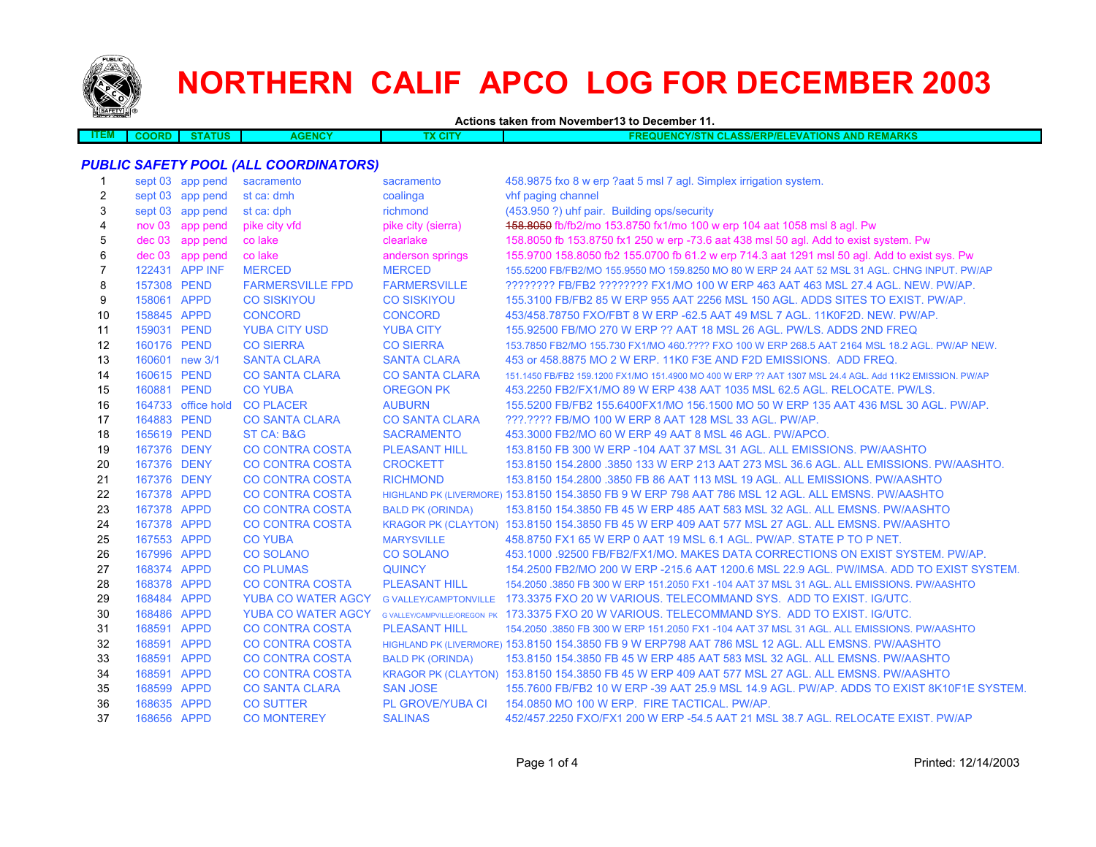

## **NORTHERN CALIF APCO LOG FOR DECEMBER 2003**

**Actions taken from November13 to December 11.**

| DRE<br>. | <b>TATUS</b> | <b>ENCY</b><br>N G | <b>TIONS</b><br><b>OREMARKS</b><br>auf<br><b>CLASS/ERP/ELE</b><br>ENCY/STN I<br>AND. |
|----------|--------------|--------------------|--------------------------------------------------------------------------------------|
|          |              |                    |                                                                                      |

## *PUBLIC SAFETY POOL (ALL COORDINATORS)*

| $\mathbf{1}$   |             | sept 03 app pend   | sacramento                | sacramento              | 458.9875 fxo 8 w erp ?aat 5 msl 7 agl. Simplex irrigation system.                                        |
|----------------|-------------|--------------------|---------------------------|-------------------------|----------------------------------------------------------------------------------------------------------|
| 2              |             | sept 03 app pend   | st ca: dmh                | coalinga                | vhf paging channel                                                                                       |
| 3              |             | sept 03 app pend   | st ca: dph                | richmond                | (453.950 ?) uhf pair. Building ops/security                                                              |
| 4              | nov 03      | app pend           | pike city vfd             | pike city (sierra)      | 158.8050 fb/fb2/mo 153.8750 fx1/mo 100 w erp 104 aat 1058 msl 8 agl. Pw                                  |
| 5              | $dec$ 03    | app pend           | co lake                   | clearlake               | 158.8050 fb 153.8750 fx1 250 w erp -73.6 aat 438 msl 50 agl. Add to exist system. Pw                     |
| 6              |             | dec 03 app pend    | co lake                   | anderson springs        | 155.9700 158.8050 fb2 155.0700 fb 61.2 w erp 714.3 aat 1291 msl 50 agl. Add to exist sys. Pw             |
| $\overline{7}$ |             | 122431 APP INF     | <b>MERCED</b>             | <b>MERCED</b>           | 155.5200 FB/FB2/MO 155.9550 MO 159.8250 MO 80 W ERP 24 AAT 52 MSL 31 AGL. CHNG INPUT. PW/AP              |
| 8              | 157308 PEND |                    | <b>FARMERSVILLE FPD</b>   | <b>FARMERSVILLE</b>     | ???????? FB/FB2 ??????? FX1/MO 100 W ERP 463 AAT 463 MSL 27.4 AGL. NEW. PW/AP.                           |
| 9              | 158061 APPD |                    | <b>CO SISKIYOU</b>        | <b>CO SISKIYOU</b>      | 155,3100 FB/FB2 85 W ERP 955 AAT 2256 MSL 150 AGL, ADDS SITES TO EXIST, PW/AP.                           |
| 10             | 158845 APPD |                    | <b>CONCORD</b>            | <b>CONCORD</b>          | 453/458.78750 FXO/FBT 8 W ERP -62.5 AAT 49 MSL 7 AGL, 11K0F2D, NEW, PW/AP.                               |
| 11             | 159031 PEND |                    | <b>YUBA CITY USD</b>      | <b>YUBA CITY</b>        | 155,92500 FB/MO 270 W ERP ?? AAT 18 MSL 26 AGL, PW/LS, ADDS 2ND FREQ                                     |
| 12             | 160176 PEND |                    | <b>CO SIERRA</b>          | <b>CO SIERRA</b>        | 153.7850 FB2/MO 155.730 FX1/MO 460.???? FXO 100 W ERP 268.5 AAT 2164 MSL 18.2 AGL, PW/AP NEW.            |
| 13             |             | 160601 new 3/1     | <b>SANTA CLARA</b>        | <b>SANTA CLARA</b>      | 453 or 458,8875 MO 2 W ERP, 11K0 F3E AND F2D EMISSIONS. ADD FREQ.                                        |
| 14             | 160615 PEND |                    | <b>CO SANTA CLARA</b>     | <b>CO SANTA CLARA</b>   | 151.1450 FB/FB2 159.1200 FX1/MO 151.4900 MO 400 W ERP ?? AAT 1307 MSL 24.4 AGL. Add 11K2 EMISSION, PW/AP |
| 15             | 160881 PEND |                    | <b>CO YUBA</b>            | <b>OREGON PK</b>        | 453.2250 FB2/FX1/MO 89 W ERP 438 AAT 1035 MSL 62.5 AGL, RELOCATE, PW/LS.                                 |
| 16             |             | 164733 office hold | <b>CO PLACER</b>          | <b>AUBURN</b>           | 155.5200 FB/FB2 155.6400FX1/MO 156.1500 MO 50 W ERP 135 AAT 436 MSL 30 AGL. PW/AP.                       |
| 17             | 164883 PEND |                    | <b>CO SANTA CLARA</b>     | <b>CO SANTA CLARA</b>   | ???.???? FB/MO 100 W ERP 8 AAT 128 MSL 33 AGL, PW/AP.                                                    |
| 18             | 165619 PEND |                    | <b>ST CA: B&amp;G</b>     | <b>SACRAMENTO</b>       | 453,3000 FB2/MO 60 W ERP 49 AAT 8 MSL 46 AGL, PW/APCO,                                                   |
| 19             | 167376 DENY |                    | <b>CO CONTRA COSTA</b>    | <b>PLEASANT HILL</b>    | 153,8150 FB 300 W ERP -104 AAT 37 MSL 31 AGL, ALL EMISSIONS, PW/AASHTO                                   |
| 20             | 167376 DENY |                    | <b>CO CONTRA COSTA</b>    | <b>CROCKETT</b>         | 153.8150 154.2800 .3850 133 W ERP 213 AAT 273 MSL 36.6 AGL, ALL EMISSIONS, PW/AASHTO,                    |
| 21             | 167376 DENY |                    | <b>CO CONTRA COSTA</b>    | <b>RICHMOND</b>         | 153.8150 154.2800 .3850 FB 86 AAT 113 MSL 19 AGL, ALL EMISSIONS, PW/AASHTO                               |
| 22             | 167378 APPD |                    | <b>CO CONTRA COSTA</b>    |                         | HIGHLAND PK (LIVERMORE) 153.8150 154.3850 FB 9 W ERP 798 AAT 786 MSL 12 AGL. ALL EMSNS. PW/AASHTO        |
| 23             | 167378 APPD |                    | <b>CO CONTRA COSTA</b>    | <b>BALD PK (ORINDA)</b> | 153,8150 154,3850 FB 45 W ERP 485 AAT 583 MSL 32 AGL, ALL EMSNS, PW/AASHTO                               |
| 24             | 167378 APPD |                    | <b>CO CONTRA COSTA</b>    |                         | KRAGOR PK (CLAYTON) 153.8150 154.3850 FB 45 W ERP 409 AAT 577 MSL 27 AGL. ALL EMSNS. PW/AASHTO           |
| 25             | 167553 APPD |                    | <b>CO YUBA</b>            | <b>MARYSVILLE</b>       | 458,8750 FX1 65 W ERP 0 AAT 19 MSL 6.1 AGL, PW/AP, STATE P TO P NET.                                     |
| 26             | 167996 APPD |                    | <b>CO SOLANO</b>          | <b>CO SOLANO</b>        | 453,1000 .92500 FB/FB2/FX1/MO, MAKES DATA CORRECTIONS ON EXIST SYSTEM, PW/AP.                            |
| 27             | 168374 APPD |                    | <b>CO PLUMAS</b>          | <b>QUINCY</b>           | 154,2500 FB2/MO 200 W ERP -215.6 AAT 1200.6 MSL 22.9 AGL, PW/IMSA, ADD TO EXIST SYSTEM.                  |
| 28             | 168378 APPD |                    | <b>CO CONTRA COSTA</b>    | <b>PLEASANT HILL</b>    | 154,2050 .3850 FB 300 W ERP 151,2050 FX1 -104 AAT 37 MSL 31 AGL, ALL EMISSIONS, PW/AASHTO                |
| 29             | 168484 APPD |                    | <b>YUBA CO WATER AGCY</b> |                         | G VALLEY/CAMPTONVILLE 173.3375 FXO 20 W VARIOUS. TELECOMMAND SYS. ADD TO EXIST. IG/UTC.                  |
| 30             | 168486 APPD |                    | <b>YUBA CO WATER AGCY</b> |                         | G VALLEY/CAMPVILLE/OREGON PK 173.3375 FXO 20 W VARIOUS. TELECOMMAND SYS. ADD TO EXIST. IG/UTC.           |
| 31             | 168591 APPD |                    | <b>CO CONTRA COSTA</b>    | <b>PLEASANT HILL</b>    | 154,2050 .3850 FB 300 W ERP 151,2050 FX1 -104 AAT 37 MSL 31 AGL, ALL EMISSIONS, PW/AASHTO                |
| 32             | 168591 APPD |                    | <b>CO CONTRA COSTA</b>    |                         | HIGHLAND PK (LIVERMORE) 153.8150 154.3850 FB 9 W ERP798 AAT 786 MSL 12 AGL, ALL EMSNS, PW/AASHTO         |
| 33             | 168591 APPD |                    | <b>CO CONTRA COSTA</b>    | <b>BALD PK (ORINDA)</b> | 153,8150 154,3850 FB 45 W ERP 485 AAT 583 MSL 32 AGL, ALL EMSNS, PW/AASHTO                               |
| 34             | 168591      | <b>APPD</b>        | <b>CO CONTRA COSTA</b>    |                         | KRAGOR PK (CLAYTON) 153.8150 154.3850 FB 45 W ERP 409 AAT 577 MSL 27 AGL. ALL EMSNS. PW/AASHTO           |
| 35             | 168599      | <b>APPD</b>        | <b>CO SANTA CLARA</b>     | <b>SAN JOSE</b>         | 155,7600 FB/FB2 10 W ERP -39 AAT 25.9 MSL 14.9 AGL, PW/AP, ADDS TO EXIST 8K10F1E SYSTEM.                 |
| 36             | 168635 APPD |                    | <b>CO SUTTER</b>          | <b>PL GROVE/YUBA CI</b> | 154,0850 MO 100 W ERP. FIRE TACTICAL, PW/AP.                                                             |
| 37             | 168656 APPD |                    | <b>CO MONTEREY</b>        | <b>SALINAS</b>          | 452/457.2250 FXO/FX1 200 W ERP -54.5 AAT 21 MSL 38.7 AGL. RELOCATE EXIST. PW/AP                          |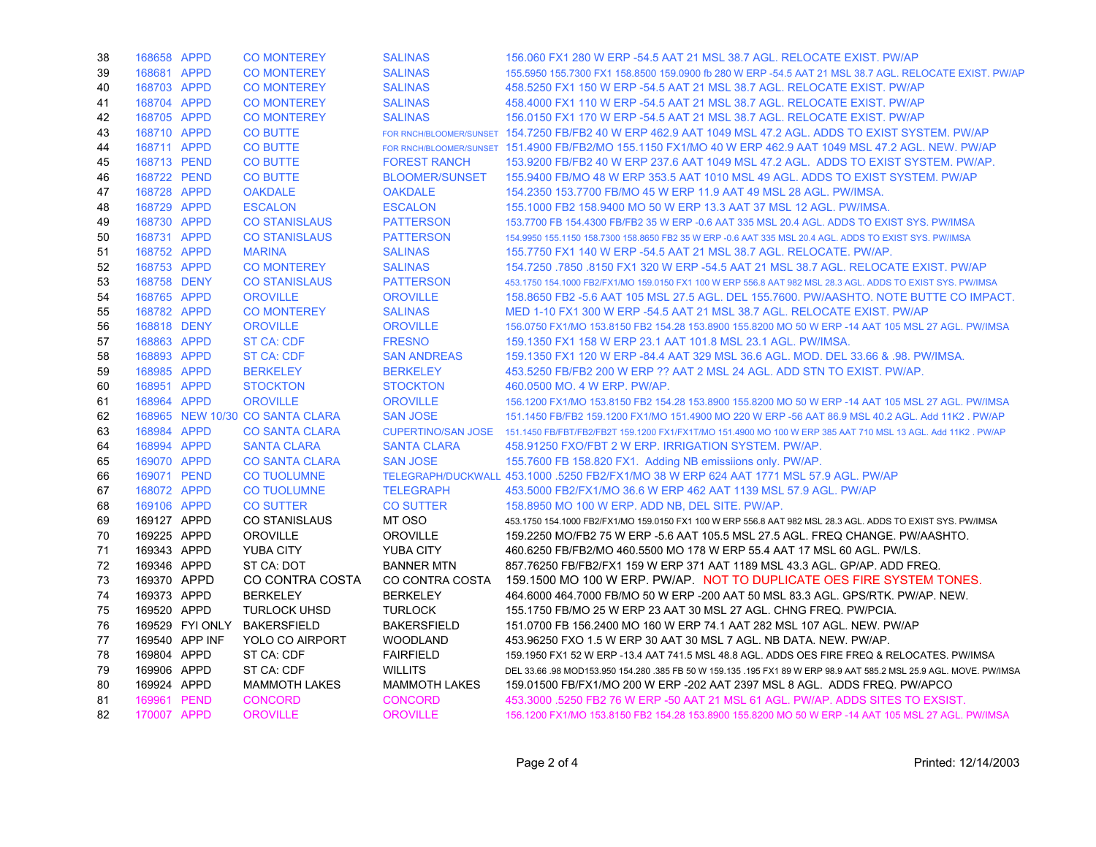| 38 | 168658 APPD |                 | <b>CO MONTEREY</b>              | <b>SALINAS</b>        | 156,060 FX1 280 W ERP -54.5 AAT 21 MSL 38.7 AGL. RELOCATE EXIST. PW/AP                                                         |
|----|-------------|-----------------|---------------------------------|-----------------------|--------------------------------------------------------------------------------------------------------------------------------|
| 39 | 168681 APPD |                 | <b>CO MONTEREY</b>              | <b>SALINAS</b>        | 155,5950 155,7300 FX1 158,8500 159,0900 fb 280 W ERP -54,5 AAT 21 MSL 38,7 AGL, RELOCATE EXIST, PW/AP                          |
| 40 | 168703 APPD |                 | <b>CO MONTEREY</b>              | <b>SALINAS</b>        | 458,5250 FX1 150 W ERP -54.5 AAT 21 MSL 38.7 AGL, RELOCATE EXIST, PW/AP                                                        |
| 41 | 168704 APPD |                 | <b>CO MONTEREY</b>              | <b>SALINAS</b>        | 458,4000 FX1 110 W ERP -54.5 AAT 21 MSL 38.7 AGL, RELOCATE EXIST, PW/AP                                                        |
| 42 | 168705 APPD |                 | <b>CO MONTEREY</b>              | <b>SALINAS</b>        | 156,0150 FX1 170 W ERP -54.5 AAT 21 MSL 38.7 AGL, RELOCATE EXIST, PW/AP                                                        |
| 43 | 168710 APPD |                 | <b>CO BUTTE</b>                 |                       | FOR RNCH/BLOOMER/SUNSET 154.7250 FB/FB2 40 W ERP 462.9 AAT 1049 MSL 47.2 AGL. ADDS TO EXIST SYSTEM. PW/AP                      |
| 44 | 168711 APPD |                 | <b>CO BUTTE</b>                 |                       | FOR RNCH/BLOOMER/SUNSET 151.4900 FB/FB2/MO 155.1150 FX1/MO 40 W ERP 462.9 AAT 1049 MSL 47.2 AGL. NEW. PW/AP                    |
| 45 | 168713 PEND |                 | <b>CO BUTTE</b>                 | <b>FOREST RANCH</b>   | 153.9200 FB/FB2 40 W ERP 237.6 AAT 1049 MSL 47.2 AGL. ADDS TO EXIST SYSTEM. PW/AP.                                             |
| 46 | 168722 PEND |                 | <b>CO BUTTE</b>                 | <b>BLOOMER/SUNSET</b> | 155,9400 FB/MO 48 W ERP 353.5 AAT 1010 MSL 49 AGL. ADDS TO EXIST SYSTEM, PW/AP                                                 |
| 47 | 168728 APPD |                 | <b>OAKDALE</b>                  | <b>OAKDALE</b>        | 154.2350 153.7700 FB/MO 45 W ERP 11.9 AAT 49 MSL 28 AGL. PW/IMSA.                                                              |
| 48 | 168729 APPD |                 | <b>ESCALON</b>                  | <b>ESCALON</b>        | 155.1000 FB2 158.9400 MO 50 W ERP 13.3 AAT 37 MSL 12 AGL. PW/IMSA.                                                             |
| 49 | 168730 APPD |                 | <b>CO STANISLAUS</b>            | <b>PATTERSON</b>      | 153.7700 FB 154.4300 FB/FB2 35 W ERP -0.6 AAT 335 MSL 20.4 AGL. ADDS TO EXIST SYS. PW/IMSA                                     |
| 50 | 168731 APPD |                 | <b>CO STANISLAUS</b>            | <b>PATTERSON</b>      | 154.9950 155.1150 158.7300 158.8650 FB2 35 W ERP -0.6 AAT 335 MSL 20.4 AGL. ADDS TO EXIST SYS. PW/IMSA                         |
| 51 | 168752 APPD |                 | <b>MARINA</b>                   | <b>SALINAS</b>        | 155.7750 FX1 140 W ERP -54.5 AAT 21 MSL 38.7 AGL. RELOCATE, PW/AP.                                                             |
| 52 | 168753 APPD |                 | <b>CO MONTEREY</b>              | <b>SALINAS</b>        | 154.7250 .7850 .8150 FX1 320 W ERP -54.5 AAT 21 MSL 38.7 AGL. RELOCATE EXIST. PW/AP                                            |
| 53 | 168758 DENY |                 | <b>CO STANISLAUS</b>            | <b>PATTERSON</b>      | 453.1750 154.1000 FB2/FX1/MO 159.0150 FX1 100 W ERP 556.8 AAT 982 MSL 28.3 AGL. ADDS TO EXIST SYS. PW/IMSA                     |
| 54 | 168765 APPD |                 | <b>OROVILLE</b>                 | <b>OROVILLE</b>       | 158,8650 FB2-5.6 AAT 105 MSL 27.5 AGL, DEL 155,7600, PW/AASHTO, NOTE BUTTE CO IMPACT.                                          |
| 55 | 168782 APPD |                 | <b>CO MONTEREY</b>              | <b>SALINAS</b>        | MED 1-10 FX1 300 W ERP -54.5 AAT 21 MSL 38.7 AGL, RELOCATE EXIST, PW/AP                                                        |
| 56 | 168818 DENY |                 | <b>OROVILLE</b>                 | <b>OROVILLE</b>       | 156,0750 FX1/MO 153,8150 FB2 154,28 153,8900 155,8200 MO 50 W ERP -14 AAT 105 MSL 27 AGL, PW/IMSA                              |
| 57 | 168863 APPD |                 | <b>ST CA: CDF</b>               | <b>FRESNO</b>         | 159.1350 FX1 158 W ERP 23.1 AAT 101.8 MSL 23.1 AGL, PW/IMSA.                                                                   |
| 58 | 168893 APPD |                 | <b>ST CA: CDF</b>               | <b>SAN ANDREAS</b>    | 159.1350 FX1 120 W ERP -84.4 AAT 329 MSL 36.6 AGL. MOD. DEL 33.66 & .98. PW/IMSA.                                              |
| 59 | 168985 APPD |                 | <b>BERKELEY</b>                 | <b>BERKELEY</b>       | 453.5250 FB/FB2 200 W ERP ?? AAT 2 MSL 24 AGL. ADD STN TO EXIST. PW/AP.                                                        |
| 60 | 168951 APPD |                 | <b>STOCKTON</b>                 | <b>STOCKTON</b>       | 460.0500 MO. 4 W ERP. PW/AP.                                                                                                   |
| 61 | 168964 APPD |                 | <b>OROVILLE</b>                 | <b>OROVILLE</b>       | 156.1200 FX1/MO 153.8150 FB2 154.28 153.8900 155.8200 MO 50 W ERP -14 AAT 105 MSL 27 AGL. PW/IMSA                              |
| 62 |             |                 | 168965 NEW 10/30 CO SANTA CLARA | <b>SAN JOSE</b>       | 151.1450 FB/FB2 159.1200 FX1/MO 151.4900 MO 220 W ERP -56 AAT 86.9 MSL 40.2 AGL, Add 11K2, PW/AP                               |
| 63 | 168984 APPD |                 | <b>CO SANTA CLARA</b>           |                       | CUPERTINO/SAN JOSE 151.1450 FB/FBT/FB2/FB2T 159.1200 FX1/FX1T/MO 151.4900 MO 100 W ERP 385 AAT 710 MSL 13 AGL. Add 11K2. PW/AP |
| 64 | 168994 APPD |                 | <b>SANTA CLARA</b>              | <b>SANTA CLARA</b>    | 458.91250 FXO/FBT 2 W ERP. IRRIGATION SYSTEM. PW/AP.                                                                           |
| 65 | 169070 APPD |                 | <b>CO SANTA CLARA</b>           | <b>SAN JOSE</b>       | 155.7600 FB 158.820 FX1. Adding NB emissiions only. PW/AP.                                                                     |
| 66 | 169071 PEND |                 | <b>CO TUOLUMNE</b>              |                       | TELEGRAPH/DUCKWALL 453.1000 .5250 FB2/FX1/MO 38 W ERP 624 AAT 1771 MSL 57.9 AGL. PW/AP                                         |
| 67 | 168072 APPD |                 | <b>CO TUOLUMNE</b>              | <b>TELEGRAPH</b>      | 453.5000 FB2/FX1/MO 36.6 W ERP 462 AAT 1139 MSL 57.9 AGL. PW/AP                                                                |
| 68 | 169106 APPD |                 | <b>CO SUTTER</b>                | <b>CO SUTTER</b>      | 158,8950 MO 100 W ERP, ADD NB, DEL SITE, PW/AP.                                                                                |
| 69 | 169127 APPD |                 | <b>CO STANISLAUS</b>            | MT OSO                | 453.1750 154.1000 FB2/FX1/MO 159.0150 FX1 100 W ERP 556.8 AAT 982 MSL 28.3 AGL. ADDS TO EXIST SYS. PW/IMSA                     |
| 70 | 169225 APPD |                 | <b>OROVILLE</b>                 | <b>OROVILLE</b>       | 159.2250 MO/FB2 75 W ERP -5.6 AAT 105.5 MSL 27.5 AGL. FREQ CHANGE. PW/AASHTO.                                                  |
| 71 | 169343 APPD |                 | <b>YUBA CITY</b>                | <b>YUBA CITY</b>      | 460.6250 FB/FB2/MO 460.5500 MO 178 W ERP 55.4 AAT 17 MSL 60 AGL. PW/LS.                                                        |
| 72 | 169346 APPD |                 | ST CA: DOT                      | <b>BANNER MTN</b>     | 857.76250 FB/FB2/FX1 159 W ERP 371 AAT 1189 MSL 43.3 AGL. GP/AP. ADD FREQ.                                                     |
| 73 | 169370 APPD |                 | CO CONTRA COSTA                 | CO CONTRA COSTA       | 159.1500 MO 100 W ERP. PW/AP. NOT TO DUPLICATE OES FIRE SYSTEM TONES.                                                          |
| 74 | 169373 APPD |                 | <b>BERKELEY</b>                 | <b>BERKELEY</b>       | 464.6000 464.7000 FB/MO 50 W ERP -200 AAT 50 MSL 83.3 AGL. GPS/RTK. PW/AP. NEW.                                                |
| 75 | 169520 APPD |                 | <b>TURLOCK UHSD</b>             | <b>TURLOCK</b>        | 155.1750 FB/MO 25 W ERP 23 AAT 30 MSL 27 AGL. CHNG FREQ. PW/PCIA.                                                              |
| 76 |             | 169529 FYI ONLY | <b>BAKERSFIELD</b>              | <b>BAKERSFIELD</b>    | 151.0700 FB 156.2400 MO 160 W ERP 74.1 AAT 282 MSL 107 AGL. NEW. PW/AP                                                         |
| 77 |             | 169540 APP INF  | YOLO CO AIRPORT                 | <b>WOODLAND</b>       | 453.96250 FXO 1.5 W ERP 30 AAT 30 MSL 7 AGL. NB DATA. NEW. PW/AP.                                                              |
| 78 | 169804 APPD |                 | ST CA: CDF                      | <b>FAIRFIELD</b>      | 159.1950 FX1 52 W ERP -13.4 AAT 741.5 MSL 48.8 AGL. ADDS OES FIRE FREQ & RELOCATES. PW/IMSA                                    |
| 79 | 169906 APPD |                 | ST CA: CDF                      | <b>WILLITS</b>        | DEL 33.66 .98 MOD153.950 154.280 .385 FB 50 W 159.135 .195 FX1 89 W ERP 98.9 AAT 585.2 MSL 25.9 AGL. MOVE. PW/IMSA             |
| 80 | 169924 APPD |                 | <b>MAMMOTH LAKES</b>            | <b>MAMMOTH LAKES</b>  | 159,01500 FB/FX1/MO 200 W ERP -202 AAT 2397 MSL 8 AGL. ADDS FREQ, PW/APCO                                                      |
| 81 | 169961 PEND |                 | <b>CONCORD</b>                  | <b>CONCORD</b>        | 453.3000 .5250 FB2 76 W ERP -50 AAT 21 MSL 61 AGL. PW/AP. ADDS SITES TO EXSIST.                                                |
| 82 | 170007 APPD |                 | <b>OROVILLE</b>                 | <b>OROVILLE</b>       | 156.1200 FX1/MO 153.8150 FB2 154.28 153.8900 155.8200 MO 50 W ERP -14 AAT 105 MSL 27 AGL. PW/IMSA                              |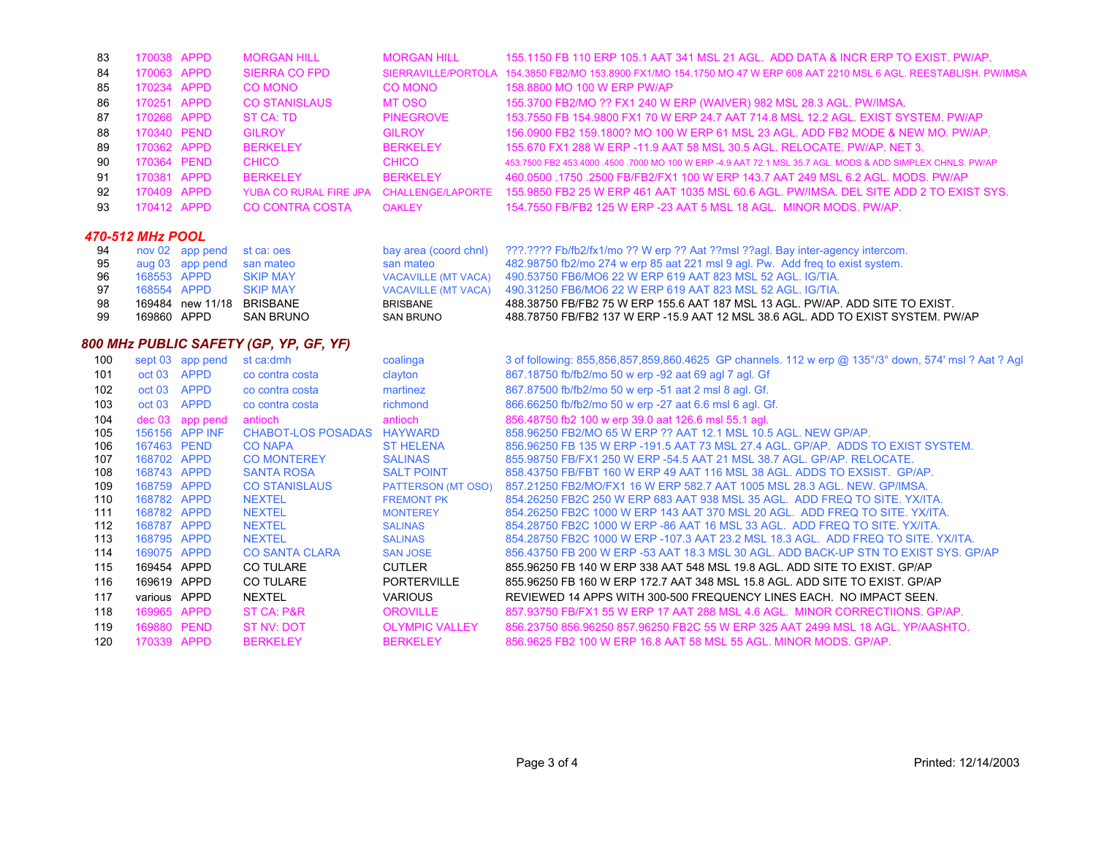| 83                      | 170038 APPD                |                  | <b>MORGAN HILL</b>                        | <b>MORGAN HILL</b>                             | 155.1150 FB 110 ERP 105.1 AAT 341 MSL 21 AGL. ADD DATA & INCR ERP TO EXIST. PW/AP.                                                                              |  |  |
|-------------------------|----------------------------|------------------|-------------------------------------------|------------------------------------------------|-----------------------------------------------------------------------------------------------------------------------------------------------------------------|--|--|
| 84                      | 170063 APPD                |                  | <b>SIERRA CO FPD</b>                      | SIERRAVILLE/PORTOLA                            | 154.3850 FB2/MO 153.8900 FX1/MO 154.1750 MO 47 W ERP 608 AAT 2210 MSL 6 AGL. REESTABLISH. PW/IMSA                                                               |  |  |
| 85                      | 170234 APPD                |                  | <b>CO MONO</b>                            | <b>CO MONO</b>                                 | 158,8800 MO 100 W ERP PW/AP                                                                                                                                     |  |  |
| 86                      | 170251 APPD                |                  | <b>CO STANISLAUS</b>                      | <b>MT OSO</b>                                  | 155.3700 FB2/MO ?? FX1 240 W ERP (WAIVER) 982 MSL 28.3 AGL. PW/IMSA.                                                                                            |  |  |
| 87                      | 170266 APPD                |                  | <b>ST CA: TD</b>                          | <b>PINEGROVE</b>                               | 153.7550 FB 154.9800 FX1 70 W ERP 24.7 AAT 714.8 MSL 12.2 AGL. EXIST SYSTEM. PW/AP                                                                              |  |  |
| 88                      | 170340 PEND                |                  | <b>GILROY</b>                             | <b>GILROY</b>                                  | 156.0900 FB2 159.1800? MO 100 W ERP 61 MSL 23 AGL. ADD FB2 MODE & NEW MO. PW/AP.                                                                                |  |  |
| 89                      | 170362 APPD                |                  | <b>BERKELEY</b>                           | <b>BERKELEY</b>                                | 155.670 FX1 288 W ERP -11.9 AAT 58 MSL 30.5 AGL. RELOCATE. PW/AP. NET 3.                                                                                        |  |  |
| 90                      | 170364 PEND                |                  | <b>CHICO</b>                              | <b>CHICO</b>                                   | 453.7500 FB2 453.4000 .4500 .7000 MO 100 W ERP -4.9 AAT 72.1 MSL 35.7 AGL. MODS & ADD SIMPLEX CHNLS. PW/AP                                                      |  |  |
| 91                      | 170381 APPD                |                  | <b>BERKELEY</b>                           | <b>BERKELEY</b>                                | 460.0500 .1750 .2500 FB/FB2/FX1 100 W ERP 143.7 AAT 249 MSL 6.2 AGL. MODS. PW/AP                                                                                |  |  |
| 92                      | 170409 APPD                |                  | YUBA CO RURAL FIRE JPA                    | <b>CHALLENGE/LAPORTE</b>                       | 155.9850 FB2 25 W ERP 461 AAT 1035 MSL 60.6 AGL. PW/IMSA. DEL SITE ADD 2 TO EXIST SYS.                                                                          |  |  |
| 93                      | 170412 APPD                |                  | <b>CO CONTRA COSTA</b>                    | <b>OAKLEY</b>                                  | 154.7550 FB/FB2 125 W ERP -23 AAT 5 MSL 18 AGL. MINOR MODS, PW/AP.                                                                                              |  |  |
|                         |                            |                  |                                           |                                                |                                                                                                                                                                 |  |  |
| <b>470-512 MHz POOL</b> |                            |                  |                                           |                                                |                                                                                                                                                                 |  |  |
| 94                      |                            | nov 02 app pend  | st ca: oes                                | bay area (coord chnl)                          | ???.???? Fb/fb2/fx1/mo ?? W erp ?? Aat ??msl ??agl. Bay inter-agency intercom.                                                                                  |  |  |
| 95                      |                            | aug 03 app pend  | san mateo                                 | san mateo                                      | 482.98750 fb2/mo 274 w erp 85 aat 221 msl 9 agl. Pw. Add freq to exist system.                                                                                  |  |  |
| 96                      | 168553 APPD                |                  | <b>SKIP MAY</b>                           | <b>VACAVILLE (MT VACA)</b>                     | 490.53750 FB6/MO6 22 W ERP 619 AAT 823 MSL 52 AGL, IG/TIA.                                                                                                      |  |  |
| 97                      | 168554 APPD                |                  | <b>SKIP MAY</b>                           | <b>VACAVILLE (MT VACA)</b>                     | 490.31250 FB6/MO6 22 W ERP 619 AAT 823 MSL 52 AGL. IG/TIA.                                                                                                      |  |  |
| 98                      | 169860 APPD                |                  | 169484 new 11/18 BRISBANE                 | <b>BRISBANE</b>                                | 488.38750 FB/FB2 75 W ERP 155.6 AAT 187 MSL 13 AGL. PW/AP. ADD SITE TO EXIST.                                                                                   |  |  |
| 99                      |                            |                  | <b>SAN BRUNO</b>                          | <b>SAN BRUNO</b>                               | 488.78750 FB/FB2 137 W ERP -15.9 AAT 12 MSL 38.6 AGL. ADD TO EXIST SYSTEM. PW/AP                                                                                |  |  |
|                         |                            |                  | 800 MHz PUBLIC SAFETY (GP, YP, GF, YF)    |                                                |                                                                                                                                                                 |  |  |
| 100                     |                            | sept 03 app pend | st ca:dmh                                 | coalinga                                       | 3 of following: 855,856,857,859,860.4625 GP channels. 112 w erp @ 135°/3° down, 574' msl ? Aat ? Agl                                                            |  |  |
| 101                     | oct 03 APPD                |                  | co contra costa                           | clayton                                        | 867.18750 fb/fb2/mo 50 w erp -92 aat 69 agl 7 agl. Gf                                                                                                           |  |  |
| 102                     | oct 03 APPD                |                  | co contra costa                           | martinez                                       | 867.87500 fb/fb2/mo 50 w erp -51 aat 2 msl 8 agl. Gf.                                                                                                           |  |  |
| 103                     | oct 03 APPD                |                  | co contra costa                           | richmond                                       | 866.66250 fb/fb2/mo 50 w erp -27 aat 6.6 msl 6 agl. Gf.                                                                                                         |  |  |
| 104                     |                            | dec 03 app pend  | antioch                                   | antioch                                        | 856.48750 fb2 100 w erp 39.0 aat 126.6 msl 55.1 agl.                                                                                                            |  |  |
| 105                     |                            | 156156 APP INF   | <b>CHABOT-LOS POSADAS</b>                 | <b>HAYWARD</b>                                 | 858,96250 FB2/MO 65 W ERP ?? AAT 12.1 MSL 10.5 AGL. NEW GP/AP.                                                                                                  |  |  |
| 106                     | 167463 PEND                |                  | <b>CO NAPA</b>                            | <b>ST HELENA</b>                               | 856.96250 FB 135 W ERP -191.5 AAT 73 MSL 27.4 AGL. GP/AP. ADDS TO EXIST SYSTEM.                                                                                 |  |  |
| 107                     | 168702 APPD                |                  | <b>CO MONTEREY</b>                        | <b>SALINAS</b>                                 | 855,98750 FB/FX1 250 W ERP -54.5 AAT 21 MSL 38.7 AGL, GP/AP, RELOCATE.                                                                                          |  |  |
| 108<br>109              | 168743 APPD<br>168759 APPD |                  | <b>SANTA ROSA</b><br><b>CO STANISLAUS</b> | <b>SALT POINT</b><br><b>PATTERSON (MT OSO)</b> | 858.43750 FB/FBT 160 W ERP 49 AAT 116 MSL 38 AGL. ADDS TO EXSIST. GP/AP.<br>857.21250 FB2/MO/FX1 16 W ERP 582.7 AAT 1005 MSL 28.3 AGL. NEW. GP/IMSA.            |  |  |
| 110                     |                            |                  |                                           |                                                |                                                                                                                                                                 |  |  |
| 111                     |                            |                  |                                           |                                                |                                                                                                                                                                 |  |  |
|                         | 168782 APPD                |                  | <b>NEXTEL</b>                             | <b>FREMONT PK</b>                              | 854.26250 FB2C 250 W ERP 683 AAT 938 MSL 35 AGL. ADD FREQ TO SITE, YX/ITA.                                                                                      |  |  |
|                         | 168782 APPD                |                  | <b>NEXTEL</b>                             | <b>MONTEREY</b>                                | 854.26250 FB2C 1000 W ERP 143 AAT 370 MSL 20 AGL. ADD FREQ TO SITE. YX/ITA.                                                                                     |  |  |
| 112<br>113              | 168787 APPD<br>168795 APPD |                  | <b>NEXTEL</b><br><b>NEXTEL</b>            | <b>SALINAS</b><br><b>SALINAS</b>               | 854.28750 FB2C 1000 W ERP -86 AAT 16 MSL 33 AGL. ADD FREQ TO SITE. YX/ITA.<br>854.28750 FB2C 1000 W ERP -107.3 AAT 23.2 MSL 18.3 AGL. ADD FREQ TO SITE, YX/ITA. |  |  |
| 114                     | 169075 APPD                |                  | <b>CO SANTA CLARA</b>                     | <b>SAN JOSE</b>                                | 856.43750 FB 200 W ERP -53 AAT 18.3 MSL 30 AGL. ADD BACK-UP STN TO EXIST SYS. GP/AP                                                                             |  |  |
| 115                     | 169454 APPD                |                  | <b>CO TULARE</b>                          | <b>CUTLER</b>                                  | 855.96250 FB 140 W ERP 338 AAT 548 MSL 19.8 AGL. ADD SITE TO EXIST. GP/AP                                                                                       |  |  |
| 116                     | 169619 APPD                |                  | CO TULARE                                 | <b>PORTERVILLE</b>                             | 855.96250 FB 160 W ERP 172.7 AAT 348 MSL 15.8 AGL. ADD SITE TO EXIST. GP/AP                                                                                     |  |  |
| 117                     | various APPD               |                  | <b>NEXTEL</b>                             | <b>VARIOUS</b>                                 | REVIEWED 14 APPS WITH 300-500 FREQUENCY LINES EACH. NO IMPACT SEEN.                                                                                             |  |  |
| 118                     | 169965 APPD                |                  | ST CA: P&R                                | <b>OROVILLE</b>                                | 857.93750 FB/FX1 55 W ERP 17 AAT 288 MSL 4.6 AGL. MINOR CORRECTIIONS. GP/AP.                                                                                    |  |  |
| 119                     | 169880 PEND                |                  | <b>ST NV: DOT</b>                         | <b>OLYMPIC VALLEY</b>                          | 856.23750 856.96250 857.96250 FB2C 55 W ERP 325 AAT 2499 MSL 18 AGL. YP/AASHTO.                                                                                 |  |  |